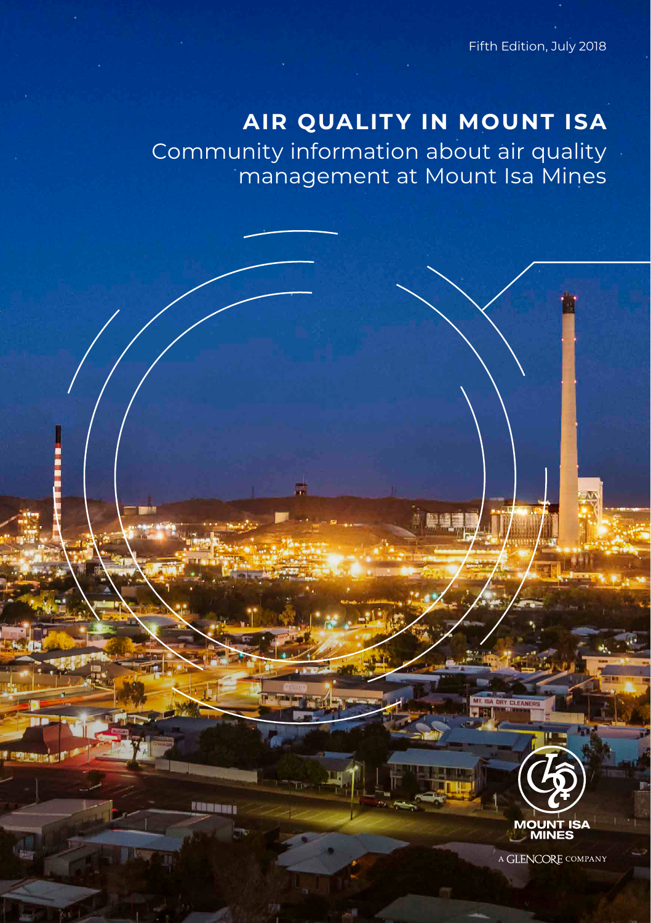Fifth Edition, July 2018

# **AIR QUALITY IN MOUNT ISA**

Community information about air quality management at Mount Isa Mines

**RADIOMETER** 



**CLEANE** 

A GLENCORE COMPANY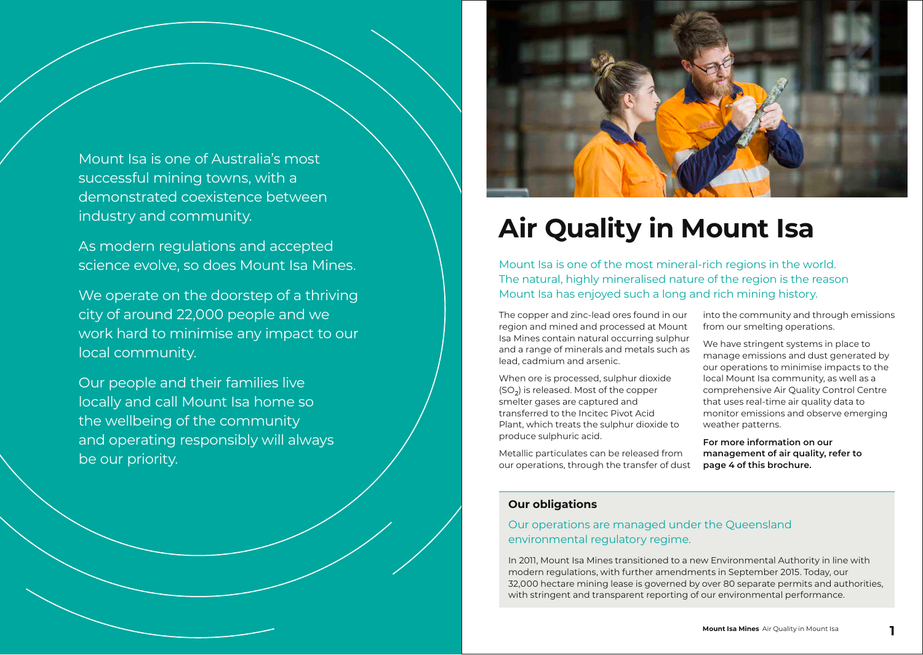Mount Isa is one of Australia's most successful mining towns, with a demonstrated coexistence between industry and community.

As modern regulations and accepted science evolve, so does Mount Isa Mines.

We operate on the doorstep of a thriving city of around 22,000 people and we work hard to minimise any impact to our local community.

Our people and their families live locally and call Mount Isa home so the wellbeing of the community and operating responsibly will always be our priority.



# **Air Quality in Mount Isa**

Mount Isa is one of the most mineral-rich regions in the world. The natural, highly mineralised nature of the region is the reason Mount Isa has enjoyed such a long and rich mining history.

The copper and zinc-lead ores found in our region and mined and processed at Mount Isa Mines contain natural occurring sulphur and a range of minerals and metals such as lead, cadmium and arsenic.

When ore is processed, sulphur dioxide (SO2) is released. Most of the copper smelter gases are captured and transferred to the Incitec Pivot Acid Plant, which treats the sulphur dioxide to produce sulphuric acid.

Metallic particulates can be released from our operations, through the transfer of dust into the community and through emissions from our smelting operations.

We have stringent systems in place to manage emissions and dust generated by our operations to minimise impacts to the local Mount Isa community, as well as a comprehensive Air Quality Control Centre that uses real-time air quality data to monitor emissions and observe emerging weather patterns.

**For more information on our management of air quality, refer to page 4 of this brochure.**

## **Our obligations**

## Our operations are managed under the Queensland environmental regulatory regime.

In 2011, Mount Isa Mines transitioned to a new Environmental Authority in line with modern regulations, with further amendments in September 2015. Today, our 32,000 hectare mining lease is governed by over 80 separate permits and authorities, with stringent and transparent reporting of our environmental performance.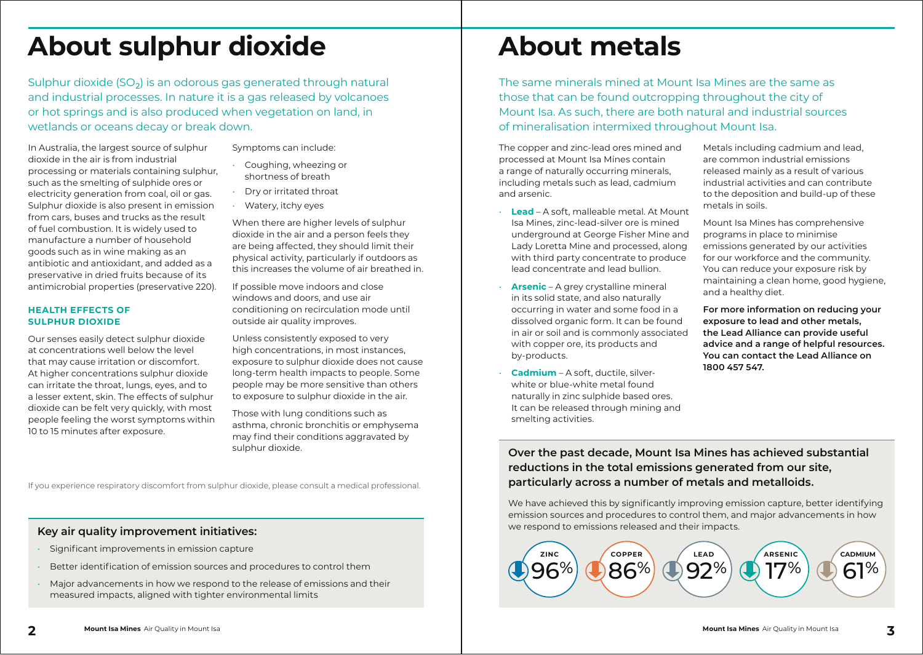# **About sulphur dioxide**

Sulphur dioxide (SO<sub>2</sub>) is an odorous gas generated through natural and industrial processes. In nature it is a gas released by volcanoes or hot springs and is also produced when vegetation on land, in wetlands or oceans decay or break down.

In Australia, the largest source of sulphur dioxide in the air is from industrial processing or materials containing sulphur, such as the smelting of sulphide ores or electricity generation from coal, oil or gas. Sulphur dioxide is also present in emission from cars, buses and trucks as the result of fuel combustion. It is widely used to manufacture a number of household goods such as in wine making as an antibiotic and antioxidant, and added as a preservative in dried fruits because of its antimicrobial properties (preservative 220).

### **HEALTH EFFECTS OF SULPHUR DIOXIDE**

Our senses easily detect sulphur dioxide at concentrations well below the level that may cause irritation or discomfort. At higher concentrations sulphur dioxide can irritate the throat, lungs, eyes, and to a lesser extent, skin. The effects of sulphur dioxide can be felt very quickly, with most people feeling the worst symptoms within 10 to 15 minutes after exposure.

- Symptoms can include:
- Coughing, wheezing or shortness of breath
- Dry or irritated throat
- Watery, itchy eyes

When there are higher levels of sulphur dioxide in the air and a person feels they are being affected, they should limit their physical activity, particularly if outdoors as this increases the volume of air breathed in.

If possible move indoors and close windows and doors, and use air conditioning on recirculation mode until outside air quality improves.

Unless consistently exposed to very high concentrations, in most instances. exposure to sulphur dioxide does not cause long-term health impacts to people. Some people may be more sensitive than others to exposure to sulphur dioxide in the air.

Those with lung conditions such as asthma, chronic bronchitis or emphysema may find their conditions aggravated by sulphur dioxide.

If you experience respiratory discomfort from sulphur dioxide, please consult a medical professional.

## **Key air quality improvement initiatives:**

- Significant improvements in emission capture
- Better identification of emission sources and procedures to control them
- Major advancements in how we respond to the release of emissions and their measured impacts, aligned with tighter environmental limits

# **About metals**

The same minerals mined at Mount Isa Mines are the same as those that can be found outcropping throughout the city of Mount Isa. As such, there are both natural and industrial sources of mineralisation intermixed throughout Mount Isa.

The copper and zinc-lead ores mined and processed at Mount Isa Mines contain a range of naturally occurring minerals, including metals such as lead, cadmium and arsenic.

- **Lead** A soft, malleable metal. At Mount Isa Mines, zinc-lead-silver ore is mined underground at George Fisher Mine and Lady Loretta Mine and processed, along with third party concentrate to produce lead concentrate and lead bullion.
- **Arsenic** A grey crystalline mineral in its solid state, and also naturally occurring in water and some food in a dissolved organic form. It can be found in air or soil and is commonly associated with copper ore, its products and by-products.
- **Cadmium** A soft, ductile, silverwhite or blue-white metal found naturally in zinc sulphide based ores. It can be released through mining and smelting activities.

Metals including cadmium and lead, are common industrial emissions released mainly as a result of various industrial activities and can contribute to the deposition and build-up of these metals in soils.

Mount Isa Mines has comprehensive programs in place to minimise emissions generated by our activities for our workforce and the community. You can reduce your exposure risk by maintaining a clean home, good hygiene, and a healthy diet.

**For more information on reducing your exposure to lead and other metals, the Lead Alliance can provide useful advice and a range of helpful resources. You can contact the Lead Alliance on 1800 457 547.**

**Over the past decade, Mount Isa Mines has achieved substantial reductions in the total emissions generated from our site, particularly across a number of metals and metalloids.**

We have achieved this by significantly improving emission capture, better identifying emission sources and procedures to control them, and major advancements in how we respond to emissions released and their impacts.

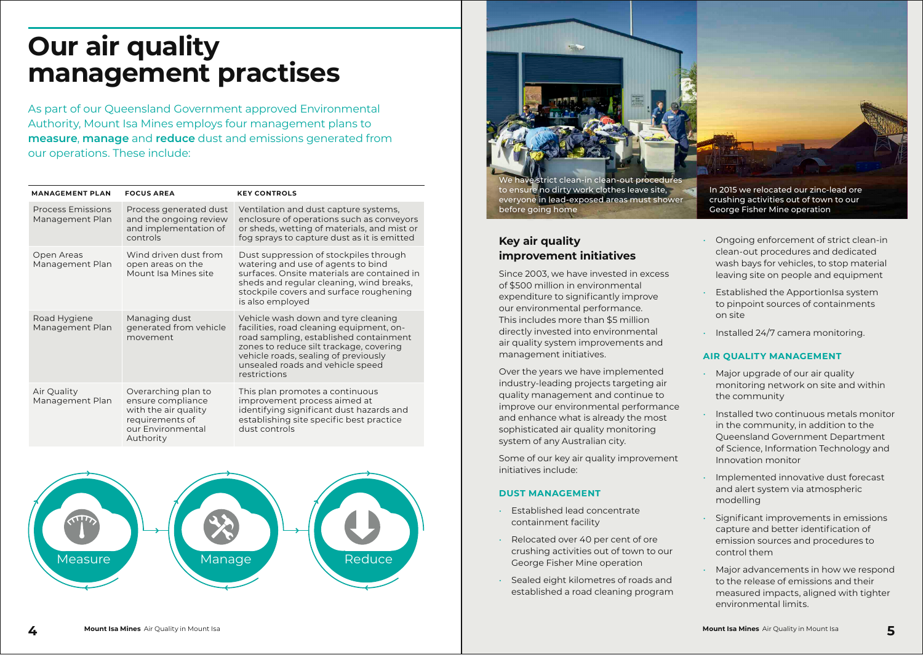# **Our air quality management practises**

As part of our Queensland Government approved Environmental Authority, Mount Isa Mines employs four management plans to **measure**, **manage** and **reduce** dust and emissions generated from our operations. These include:

| <b>MANAGEMENT PLAN</b>                      | <b>FOCUS AREA</b>                                                                                                     | <b>KEY CONTROLS</b>                                                                                                                                                                                                                                              |
|---------------------------------------------|-----------------------------------------------------------------------------------------------------------------------|------------------------------------------------------------------------------------------------------------------------------------------------------------------------------------------------------------------------------------------------------------------|
| <b>Process Emissions</b><br>Management Plan | Process generated dust<br>and the ongoing review<br>and implementation of<br>controls                                 | Ventilation and dust capture systems,<br>enclosure of operations such as conveyors<br>or sheds, wetting of materials, and mist or<br>fog sprays to capture dust as it is emitted                                                                                 |
| Open Areas<br>Management Plan               | Wind driven dust from<br>open areas on the<br>Mount Isa Mines site                                                    | Dust suppression of stockpiles through<br>watering and use of agents to bind<br>surfaces. Onsite materials are contained in<br>sheds and regular cleaning, wind breaks,<br>stockpile covers and surface roughening<br>is also employed                           |
| Road Hygiene<br>Management Plan             | Managing dust<br>generated from vehicle<br>movement                                                                   | Vehicle wash down and tyre cleaning<br>facilities, road cleaning equipment, on-<br>road sampling, established containment<br>zones to reduce silt trackage, covering<br>vehicle roads, sealing of previously<br>unsealed roads and vehicle speed<br>restrictions |
| Air Quality<br>Management Plan              | Overarching plan to<br>ensure compliance<br>with the air quality<br>requirements of<br>our Environmental<br>Authority | This plan promotes a continuous<br>improvement process aimed at<br>identifying significant dust hazards and<br>establishing site specific best practice<br>dust controls                                                                                         |





## **Key air quality improvement initiatives**

Since 2003, we have invested in excess of \$500 million in environmental expenditure to significantly improve our environmental performance. This includes more than \$5 million directly invested into environmental air quality system improvements and management initiatives.

Over the years we have implemented industry-leading projects targeting air quality management and continue to improve our environmental performance and enhance what is already the most sophisticated air quality monitoring system of any Australian city.

Some of our key air quality improvement initiatives include:

### **DUST MANAGEMENT**

- Established lead concentrate containment facility
- Relocated over 40 per cent of ore crushing activities out of town to our George Fisher Mine operation
- Sealed eight kilometres of roads and established a road cleaning program

George Fisher Mine operation

- Ongoing enforcement of strict clean-in clean-out procedures and dedicated wash bays for vehicles, to stop material leaving site on people and equipment
- Established the ApportionIsa system to pinpoint sources of containments on site
- Installed 24/7 camera monitoring.

### **AIR QUALITY MANAGEMENT**

- Major upgrade of our air quality monitoring network on site and within the community
- Installed two continuous metals monitor in the community, in addition to the Queensland Government Department of Science, Information Technology and Innovation monitor
- Implemented innovative dust forecast and alert system via atmospheric modelling
- Significant improvements in emissions capture and better identification of emission sources and procedures to control them
- Major advancements in how we respond to the release of emissions and their measured impacts, aligned with tighter environmental limits.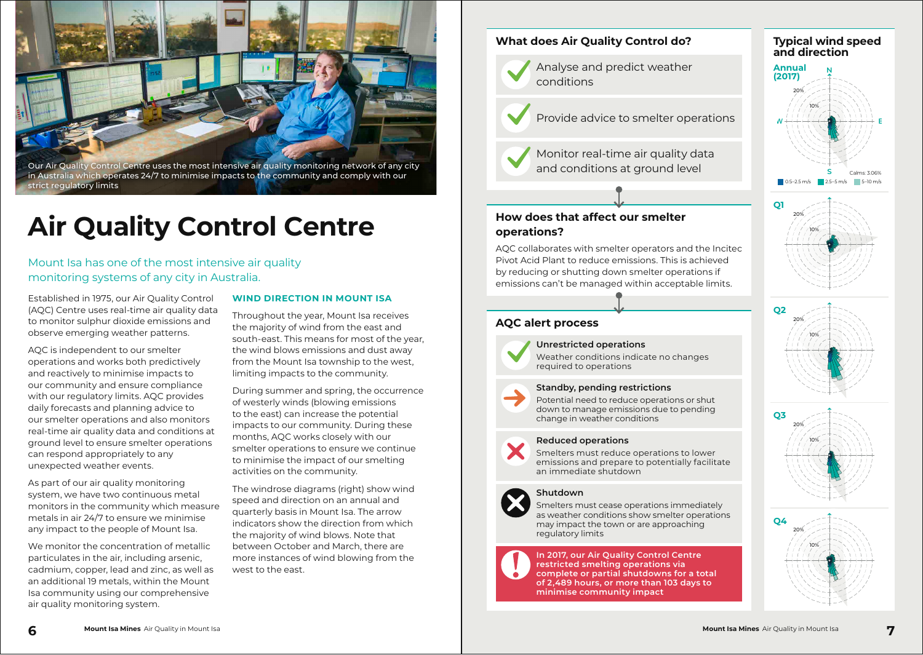Our Air Quality Control Centre uses the most intensive air quality monitoring network of any city in Australia which operates 24/7 to minimise impacts to the community and comply with our strict regulatory limits

# **Air Quality Control Centre**

Mount Isa has one of the most intensive air quality monitoring systems of any city in Australia.

Established in 1975, our Air Quality Control (AQC) Centre uses real-time air quality data to monitor sulphur dioxide emissions and observe emerging weather patterns.

AQC is independent to our smelter operations and works both predictively and reactively to minimise impacts to our community and ensure compliance with our regulatory limits. AQC provides daily forecasts and planning advice to our smelter operations and also monitors real-time air quality data and conditions at ground level to ensure smelter operations can respond appropriately to any unexpected weather events.

As part of our air quality monitoring system, we have two continuous metal monitors in the community which measure metals in air 24/7 to ensure we minimise any impact to the people of Mount Isa.

We monitor the concentration of metallic particulates in the air, including arsenic, cadmium, copper, lead and zinc, as well as an additional 19 metals, within the Mount Isa community using our comprehensive air quality monitoring system.

### **WIND DIRECTION IN MOUNT ISA**

Throughout the year, Mount Isa receives the majority of wind from the east and south-east. This means for most of the year, the wind blows emissions and dust away from the Mount Isa township to the west, limiting impacts to the community.

During summer and spring, the occurrence of westerly winds (blowing emissions to the east) can increase the potential impacts to our community. During these months, AQC works closely with our smelter operations to ensure we continue to minimise the impact of our smelting activities on the community.

The windrose diagrams (right) show wind speed and direction on an annual and quarterly basis in Mount Isa. The arrow indicators show the direction from which the majority of wind blows. Note that between October and March, there are more instances of wind blowing from the west to the east.

### **What does Air Quality Control do?**

Analyse and predict weather conditions

Provide advice to smelter operations

Monitor real-time air quality data and conditions at ground level

### **How does that affect our smelter operations?**

AQC collaborates with smelter operators and the Incitec Pivot Acid Plant to reduce emissions. This is achieved by reducing or shutting down smelter operations if emissions can't be managed within acceptable limits.

### **AQC alert process**



## **Unrestricted operations**

Weather conditions indicate no changes required to operations



Potential need to reduce operations or shut down to manage emissions due to pending change in weather conditions

### **Reduced operations**

Smelters must reduce operations to lower emissions and prepare to potentially facilitate an immediate shutdown

### **Shutdown**

Smelters must cease operations immediately as weather conditions show smelter operations may impact the town or are approaching regulatory limits

**In 2017, our Air Quality Control Centre restricted smelting operations via complete or partial shutdowns for a total of 2,489 hours, or more than 103 days to minimise community impact**



**Typical wind speed** 







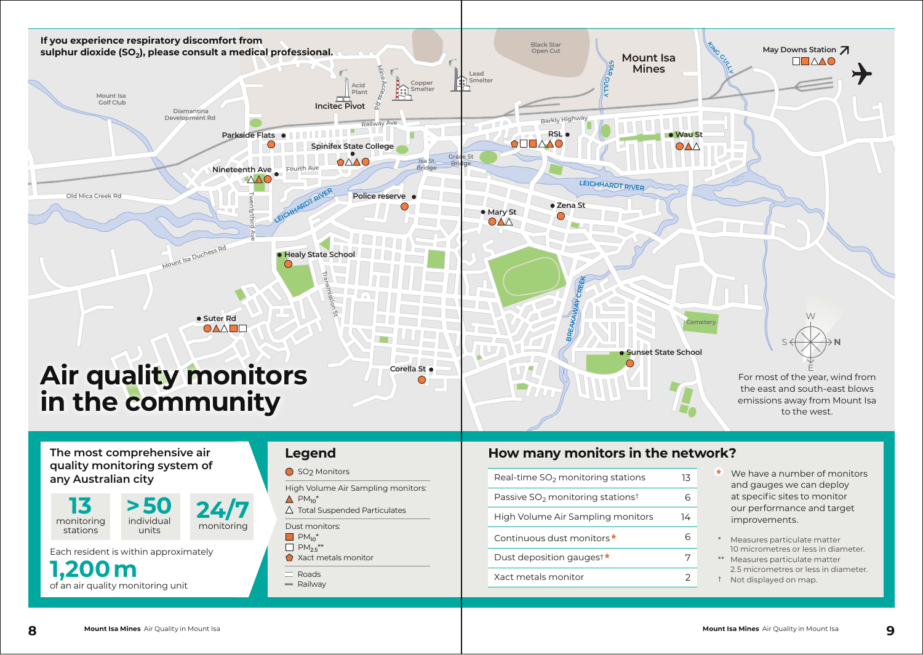

## **The most comprehensive air quality monitoring system of any Australian city**

**13**  monitoring stations **> 50** individual

Each resident is within approximately

**1,200 m** of an air quality monitoring unit

### SO<sub>2</sub> Monitors

High Volume Air Sampling monitors:

- $\triangle$  PM<sub>10</sub>\*
- $\triangle$  Total Suspended Particulates
- $M_{10}$ <sup>\*</sup> Dust monitors:
- $\Box$  PM<sub>2.5</sub>\*\*
- Xact metals monitor

Roads

**MMM** Railway

# **Legend How many monitors in the network?**

- Real-time  $SO<sub>2</sub>$  monitoring stations 13 Passive  $SO<sub>2</sub>$  monitoring stations<sup>†</sup> 6 High Volume Air Sampling monitors 14 Continuous dust monitors  $\star$  6 Dust deposition gauges<sup>†</sup> ★ 7 Xact metals monitor 2
- We have a number of monitors and gauges we can deploy at specific sites to monitor our performance and target improvements.
- Measures particulate matter 10 micrometres or less in diameter.
- \*\* Measures particulate matter 2.5 micrometres or less in diameter.
- † Not displayed on map.

units

**24/7** monitoring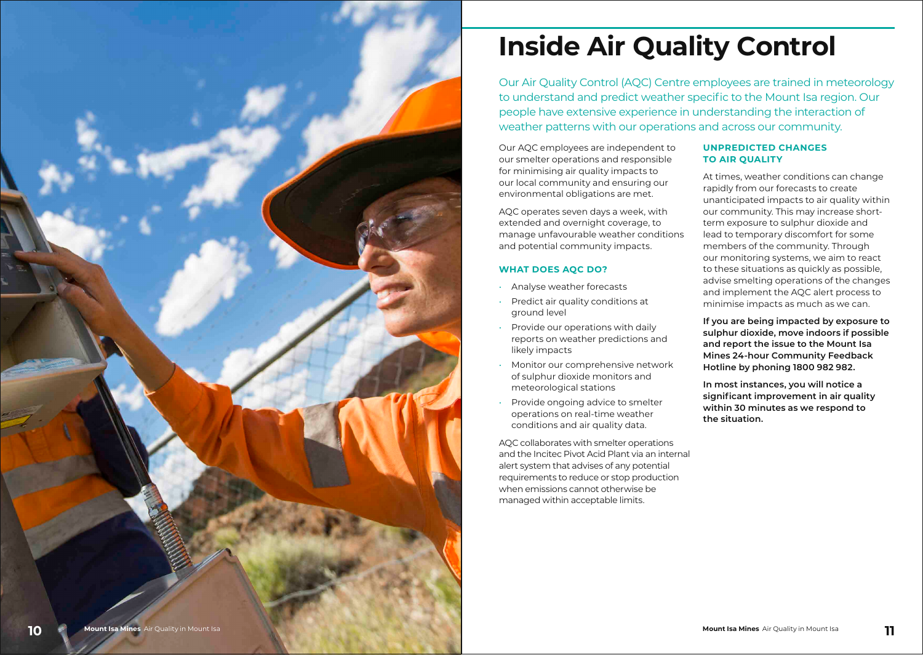

# **Inside Air Quality Control**

Our Air Quality Control (AQC) Centre employees are trained in meteorology to understand and predict weather specific to the Mount Isa region. Our people have extensive experience in understanding the interaction of weather patterns with our operations and across our community.

Our AQC employees are independent to our smelter operations and responsible for minimising air quality impacts to our local community and ensuring our environmental obligations are met.

AQC operates seven days a week, with extended and overnight coverage, to manage unfavourable weather conditions and potential community impacts.

### **WHAT DOES AQC DO?**

- Analyse weather forecasts
- Predict air quality conditions at ground level
- Provide our operations with daily reports on weather predictions and likely impacts
- Monitor our comprehensive network of sulphur dioxide monitors and meteorological stations
- Provide ongoing advice to smelter operations on real-time weather conditions and air quality data.

AQC collaborates with smelter operations and the Incitec Pivot Acid Plant via an internal alert system that advises of any potential requirements to reduce or stop production when emissions cannot otherwise be managed within acceptable limits.

### **UNPREDICTED CHANGES TO AIR QUALITY**

At times, weather conditions can change rapidly from our forecasts to create unanticipated impacts to air quality within our community. This may increase shortterm exposure to sulphur dioxide and lead to temporary discomfort for some members of the community. Through our monitoring systems, we aim to react to these situations as quickly as possible, advise smelting operations of the changes and implement the AQC alert process to minimise impacts as much as we can.

**If you are being impacted by exposure to sulphur dioxide, move indoors if possible and report the issue to the Mount Isa Mines 24-hour Community Feedback Hotline by phoning 1800 982 982.**

**In most instances, you will notice a significant improvement in air quality within 30 minutes as we respond to the situation.**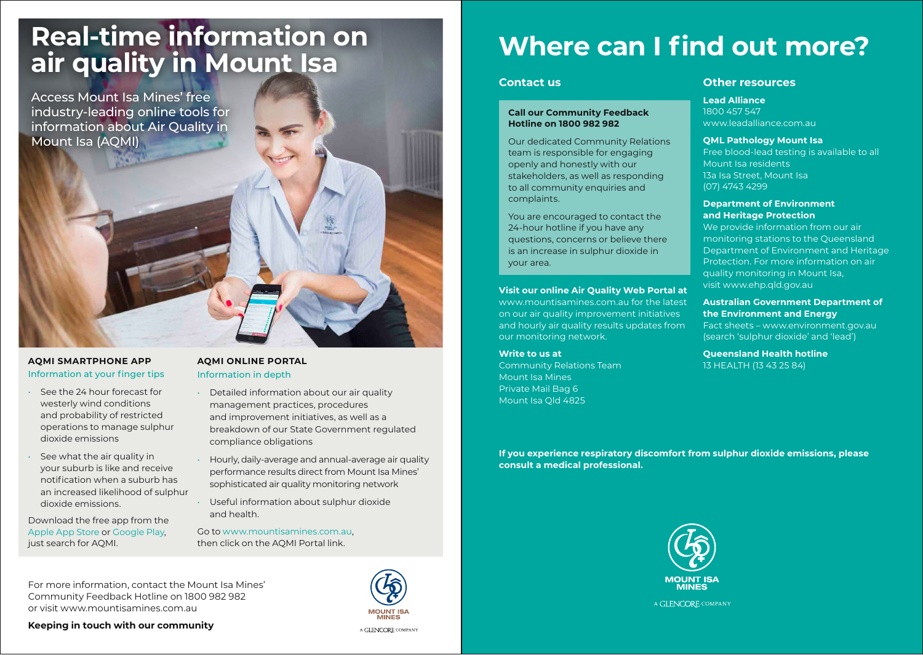# **Real-time information on air quality in Mount Isa**

Access Mount Isa Mines' free industry-leading online tools for information about Air Quality in Mount Isa (AQMI)

### **AQMI SMARTPHONE APP** Information at your finger tips

- See the 24 hour forecast for westerly wind conditions and probability of restricted operations to manage sulphur dioxide emissions
- See what the air quality in your suburb is like and receive notification when a suburb has an increased likelihood of sulphur dioxide emissions.

Download the free app from the Apple App Store or Google Play, just search for AOMI.

## **AQMI ONLINE PORTAL** Information in depth

- Detailed information about our air quality management practices, procedures and improvement initiatives, as well as a breakdown of our State Government regulated compliance obligations
- Hourly, daily-average and annual-average air quality performance results direct from Mount Isa Mines' sophisticated air quality monitoring network
- Useful information about sulphur dioxide and health.

Go to www.mountisamines.com.au, then click on the AQMI Portal link.

For more information, contact the Mount Isa Mines' Community Feedback Hotline on 1800 982 982 or visit www.mountisamines.com.au

**Keeping in touch with our community**

- 
- 
- 



# **Where can I find out more?**

### **Contact us**

### **Call our Community Feedback Hotline on 1800 982 982**

Our dedicated Community Relations team is responsible for engaging openly and honestly with our stakeholders, as well as responding to all community enquiries and complaints.

You are encouraged to contact the 24-hour hotline if you have any questions, concerns or believe there is an increase in sulphur dioxide in your area.

### **Visit our online Air Quality Web Portal at**

www.mountisamines.com.au for the latest on our air quality improvement initiatives and hourly air quality results updates from our monitoring network.

### **Write to us at** Community Relations Team Mount Isa Mines Private Mail Bag 6 Mount Isa Qld 4825

### **Other resources**

**Lead Alliance** 

1800 457 547 www.leadalliance.com.au

### **QML Pathology Mount Isa**

Free blood-lead testing is available to all Mount Isa residents 13a Isa Street, Mount Isa (07) 4743 4299

### **Department of Environment and Heritage Protection**

We provide information from our air monitoring stations to the Queensland Department of Environment and Heritage Protection. For more information on air quality monitoring in Mount Isa, visit www.ehp.qld.gov.au

**Australian Government Department of the Environment and Energy** 

Fact sheets – www.environment.gov.au (search 'sulphur dioxide' and 'lead')

**Queensland Health hotline** 13 HEALTH (13 43 25 84)

**If you experience respiratory discomfort from sulphur dioxide emissions, please consult a medical professional.** 



A GLENCORE COMPANY